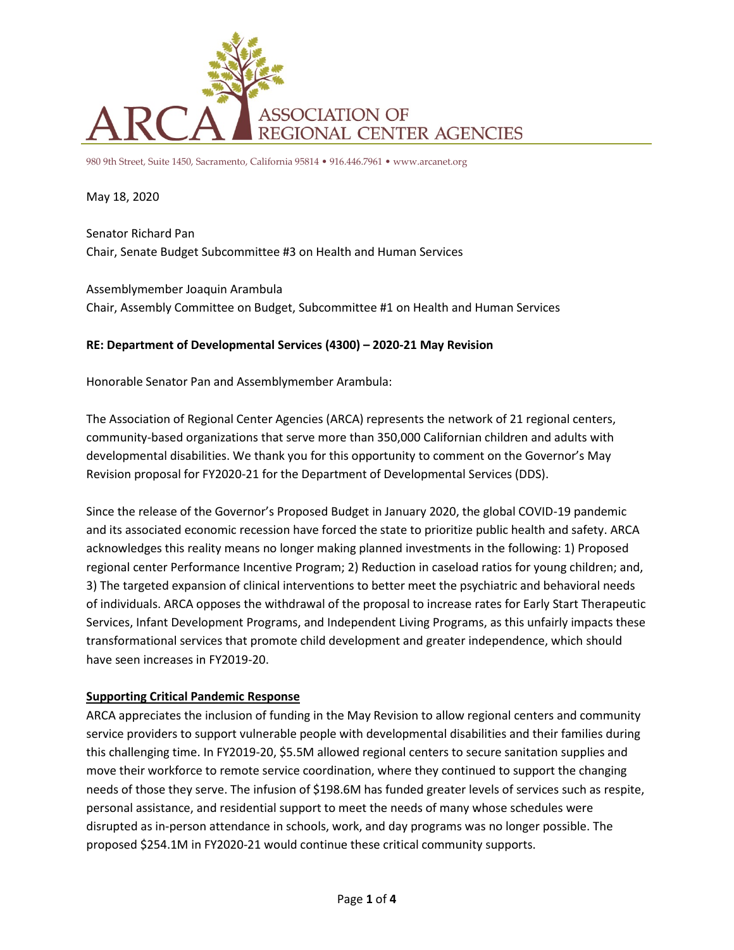

980 9th Street, Suite 1450, Sacramento, California 95814 • 916.446.7961 • www.arcanet.org

May 18, 2020

Senator Richard Pan Chair, Senate Budget Subcommittee #3 on Health and Human Services

Assemblymember Joaquin Arambula Chair, Assembly Committee on Budget, Subcommittee #1 on Health and Human Services

### **RE: Department of Developmental Services (4300) – 2020-21 May Revision**

Honorable Senator Pan and Assemblymember Arambula:

The Association of Regional Center Agencies (ARCA) represents the network of 21 regional centers, community-based organizations that serve more than 350,000 Californian children and adults with developmental disabilities. We thank you for this opportunity to comment on the Governor's May Revision proposal for FY2020-21 for the Department of Developmental Services (DDS).

Since the release of the Governor's Proposed Budget in January 2020, the global COVID-19 pandemic and its associated economic recession have forced the state to prioritize public health and safety. ARCA acknowledges this reality means no longer making planned investments in the following: 1) Proposed regional center Performance Incentive Program; 2) Reduction in caseload ratios for young children; and, 3) The targeted expansion of clinical interventions to better meet the psychiatric and behavioral needs of individuals. ARCA opposes the withdrawal of the proposal to increase rates for Early Start Therapeutic Services, Infant Development Programs, and Independent Living Programs, as this unfairly impacts these transformational services that promote child development and greater independence, which should have seen increases in FY2019-20.

### **Supporting Critical Pandemic Response**

ARCA appreciates the inclusion of funding in the May Revision to allow regional centers and community service providers to support vulnerable people with developmental disabilities and their families during this challenging time. In FY2019-20, \$5.5M allowed regional centers to secure sanitation supplies and move their workforce to remote service coordination, where they continued to support the changing needs of those they serve. The infusion of \$198.6M has funded greater levels of services such as respite, personal assistance, and residential support to meet the needs of many whose schedules were disrupted as in-person attendance in schools, work, and day programs was no longer possible. The proposed \$254.1M in FY2020-21 would continue these critical community supports.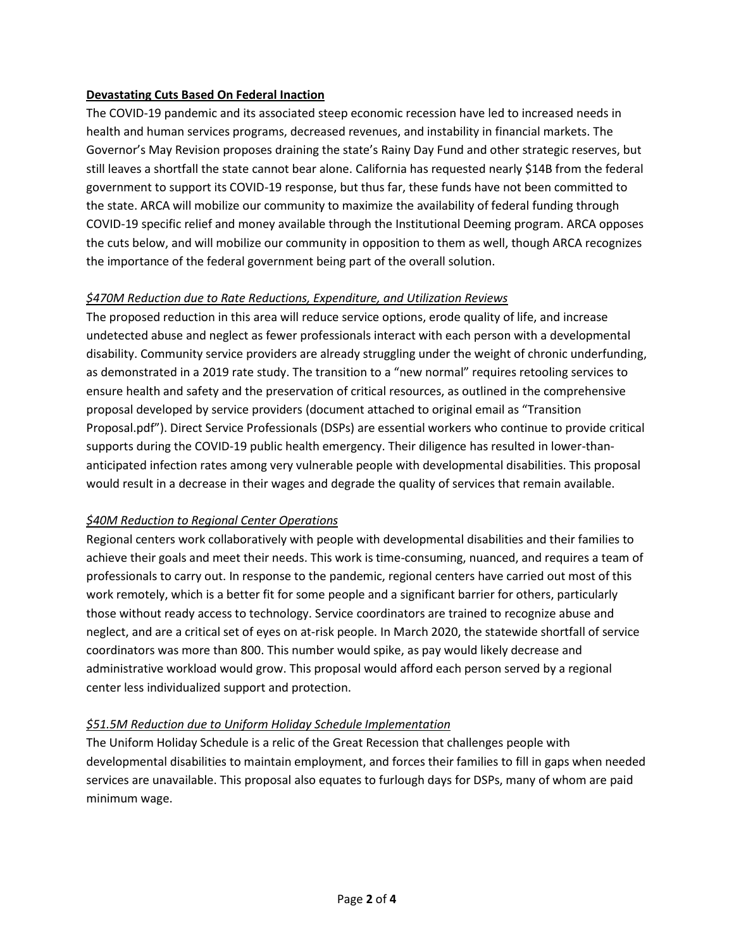### **Devastating Cuts Based On Federal Inaction**

The COVID-19 pandemic and its associated steep economic recession have led to increased needs in health and human services programs, decreased revenues, and instability in financial markets. The Governor's May Revision proposes draining the state's Rainy Day Fund and other strategic reserves, but still leaves a shortfall the state cannot bear alone. California has requested nearly \$14B from the federal government to support its COVID-19 response, but thus far, these funds have not been committed to the state. ARCA will mobilize our community to maximize the availability of federal funding through COVID-19 specific relief and money available through the Institutional Deeming program. ARCA opposes the cuts below, and will mobilize our community in opposition to them as well, though ARCA recognizes the importance of the federal government being part of the overall solution.

# *\$470M Reduction due to Rate Reductions, Expenditure, and Utilization Reviews*

The proposed reduction in this area will reduce service options, erode quality of life, and increase undetected abuse and neglect as fewer professionals interact with each person with a developmental disability. Community service providers are already struggling under the weight of chronic underfunding, as demonstrated in a 2019 rate study. The transition to a "new normal" requires retooling services to ensure health and safety and the preservation of critical resources, as outlined in the comprehensive proposal developed by service providers (document attached to original email as "Transition Proposal.pdf"). Direct Service Professionals (DSPs) are essential workers who continue to provide critical supports during the COVID-19 public health emergency. Their diligence has resulted in lower-thananticipated infection rates among very vulnerable people with developmental disabilities. This proposal would result in a decrease in their wages and degrade the quality of services that remain available.

# *\$40M Reduction to Regional Center Operations*

Regional centers work collaboratively with people with developmental disabilities and their families to achieve their goals and meet their needs. This work is time-consuming, nuanced, and requires a team of professionals to carry out. In response to the pandemic, regional centers have carried out most of this work remotely, which is a better fit for some people and a significant barrier for others, particularly those without ready access to technology. Service coordinators are trained to recognize abuse and neglect, and are a critical set of eyes on at-risk people. In March 2020, the statewide shortfall of service coordinators was more than 800. This number would spike, as pay would likely decrease and administrative workload would grow. This proposal would afford each person served by a regional center less individualized support and protection.

# *\$51.5M Reduction due to Uniform Holiday Schedule Implementation*

The Uniform Holiday Schedule is a relic of the Great Recession that challenges people with developmental disabilities to maintain employment, and forces their families to fill in gaps when needed services are unavailable. This proposal also equates to furlough days for DSPs, many of whom are paid minimum wage.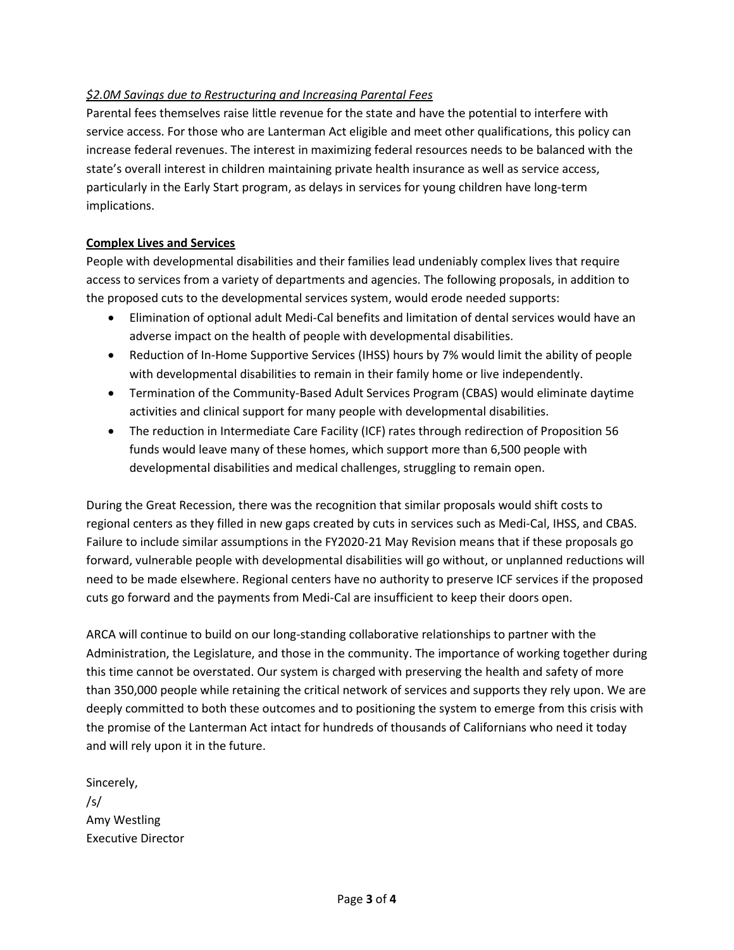# *\$2.0M Savings due to Restructuring and Increasing Parental Fees*

Parental fees themselves raise little revenue for the state and have the potential to interfere with service access. For those who are Lanterman Act eligible and meet other qualifications, this policy can increase federal revenues. The interest in maximizing federal resources needs to be balanced with the state's overall interest in children maintaining private health insurance as well as service access, particularly in the Early Start program, as delays in services for young children have long-term implications.

### **Complex Lives and Services**

People with developmental disabilities and their families lead undeniably complex lives that require access to services from a variety of departments and agencies. The following proposals, in addition to the proposed cuts to the developmental services system, would erode needed supports:

- Elimination of optional adult Medi-Cal benefits and limitation of dental services would have an adverse impact on the health of people with developmental disabilities.
- Reduction of In-Home Supportive Services (IHSS) hours by 7% would limit the ability of people with developmental disabilities to remain in their family home or live independently.
- Termination of the Community-Based Adult Services Program (CBAS) would eliminate daytime activities and clinical support for many people with developmental disabilities.
- The reduction in Intermediate Care Facility (ICF) rates through redirection of Proposition 56 funds would leave many of these homes, which support more than 6,500 people with developmental disabilities and medical challenges, struggling to remain open.

During the Great Recession, there was the recognition that similar proposals would shift costs to regional centers as they filled in new gaps created by cuts in services such as Medi-Cal, IHSS, and CBAS. Failure to include similar assumptions in the FY2020-21 May Revision means that if these proposals go forward, vulnerable people with developmental disabilities will go without, or unplanned reductions will need to be made elsewhere. Regional centers have no authority to preserve ICF services if the proposed cuts go forward and the payments from Medi-Cal are insufficient to keep their doors open.

ARCA will continue to build on our long-standing collaborative relationships to partner with the Administration, the Legislature, and those in the community. The importance of working together during this time cannot be overstated. Our system is charged with preserving the health and safety of more than 350,000 people while retaining the critical network of services and supports they rely upon. We are deeply committed to both these outcomes and to positioning the system to emerge from this crisis with the promise of the Lanterman Act intact for hundreds of thousands of Californians who need it today and will rely upon it in the future.

Sincerely, /s/ Amy Westling Executive Director